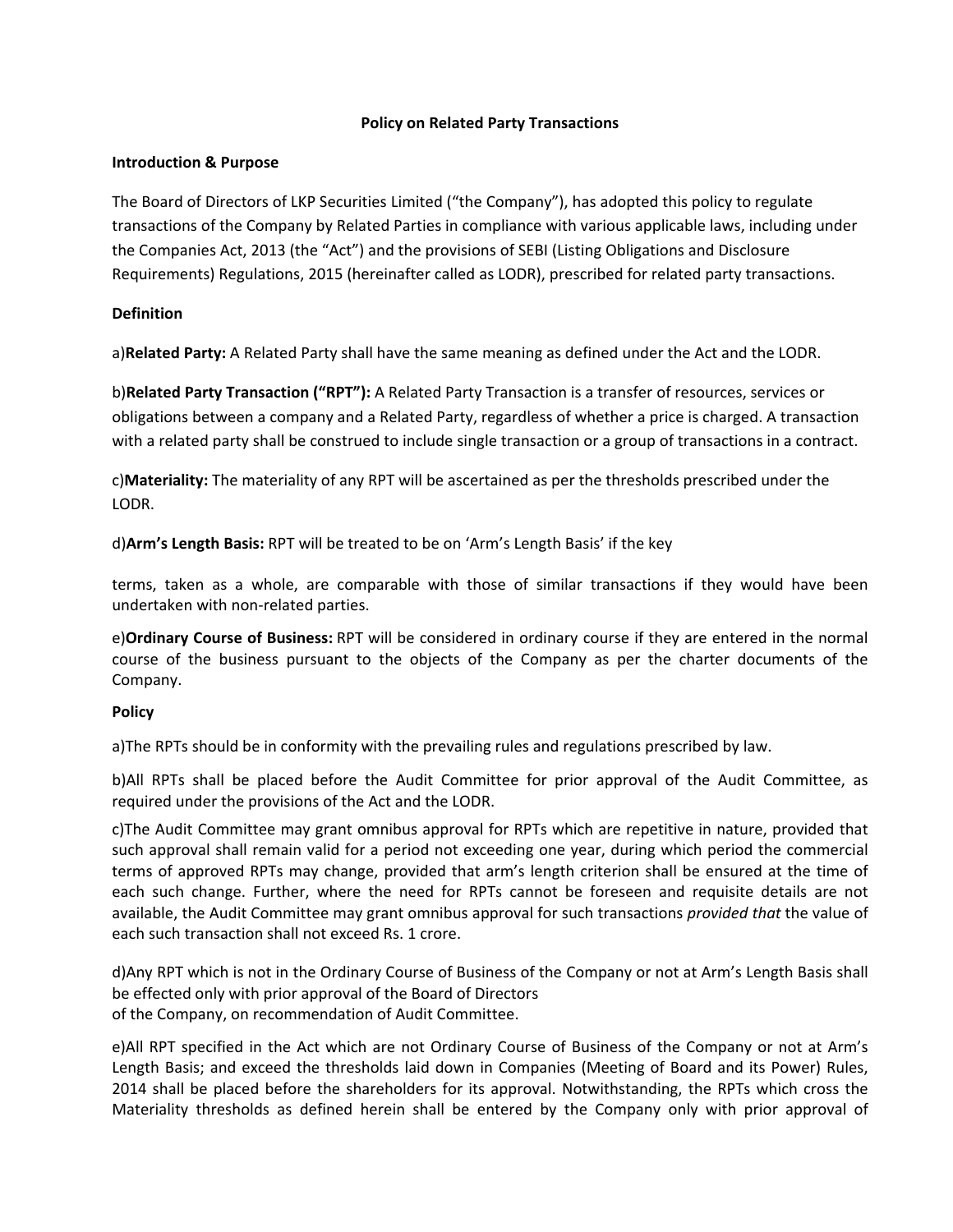## **Policy on Related Party Transactions**

## **Introduction & Purpose**

The Board of Directors of LKP Securities Limited ("the Company"), has adopted this policy to regulate transactions of the Company by Related Parties in compliance with various applicable laws, including under the Companies Act, 2013 (the "Act") and the provisions of SEBI (Listing Obligations and Disclosure Requirements) Regulations, 2015 (hereinafter called as LODR), prescribed for related party transactions.

# **Definition**

a)**Related Party:** A Related Party shall have the same meaning as defined under the Act and the LODR.

b)**Related Party Transaction ("RPT"):** A Related Party Transaction is a transfer of resources, services or obligations between a company and a Related Party, regardless of whether a price is charged. A transaction with a related party shall be construed to include single transaction or a group of transactions in a contract.

c)**Materiality:** The materiality of any RPT will be ascertained as per the thresholds prescribed under the LODR.

d)**Arm's Length Basis:** RPT will be treated to be on 'Arm's Length Basis' if the key

terms, taken as a whole, are comparable with those of similar transactions if they would have been undertaken with non‐related parties.

e)**Ordinary Course of Business:** RPT will be considered in ordinary course if they are entered in the normal course of the business pursuant to the objects of the Company as per the charter documents of the Company.

# **Policy**

a)The RPTs should be in conformity with the prevailing rules and regulations prescribed by law.

b)All RPTs shall be placed before the Audit Committee for prior approval of the Audit Committee, as required under the provisions of the Act and the LODR.

c)The Audit Committee may grant omnibus approval for RPTs which are repetitive in nature, provided that such approval shall remain valid for a period not exceeding one year, during which period the commercial terms of approved RPTs may change, provided that arm's length criterion shall be ensured at the time of each such change. Further, where the need for RPTs cannot be foreseen and requisite details are not available, the Audit Committee may grant omnibus approval for such transactions *provided that* the value of each such transaction shall not exceed Rs. 1 crore.

d)Any RPT which is not in the Ordinary Course of Business of the Company or not at Arm's Length Basis shall be effected only with prior approval of the Board of Directors of the Company, on recommendation of Audit Committee.

e)All RPT specified in the Act which are not Ordinary Course of Business of the Company or not at Arm's Length Basis; and exceed the thresholds laid down in Companies (Meeting of Board and its Power) Rules, 2014 shall be placed before the shareholders for its approval. Notwithstanding, the RPTs which cross the Materiality thresholds as defined herein shall be entered by the Company only with prior approval of